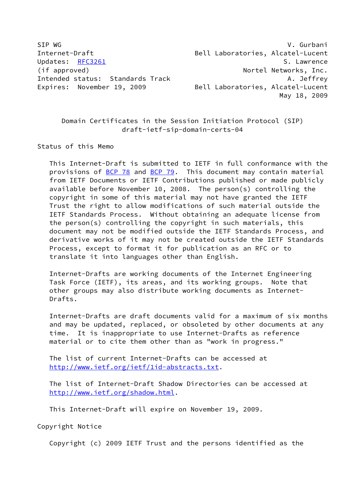SIP WG **V. Gurbani** Internet-Draft Bell Laboratories, Alcatel-Lucent Updates: [RFC3261](https://datatracker.ietf.org/doc/pdf/rfc3261) S. Lawrence (if approved)  $\blacksquare$  Nortel Networks, Inc. Intended status: Standards Track A. Jeffrey Expires: November 19, 2009 Bell Laboratories, Alcatel-Lucent May 18, 2009

 Domain Certificates in the Session Initiation Protocol (SIP) draft-ietf-sip-domain-certs-04

Status of this Memo

 This Internet-Draft is submitted to IETF in full conformance with the provisions of [BCP 78](https://datatracker.ietf.org/doc/pdf/bcp78) and [BCP 79](https://datatracker.ietf.org/doc/pdf/bcp79). This document may contain material from IETF Documents or IETF Contributions published or made publicly available before November 10, 2008. The person(s) controlling the copyright in some of this material may not have granted the IETF Trust the right to allow modifications of such material outside the IETF Standards Process. Without obtaining an adequate license from the person(s) controlling the copyright in such materials, this document may not be modified outside the IETF Standards Process, and derivative works of it may not be created outside the IETF Standards Process, except to format it for publication as an RFC or to translate it into languages other than English.

 Internet-Drafts are working documents of the Internet Engineering Task Force (IETF), its areas, and its working groups. Note that other groups may also distribute working documents as Internet- Drafts.

 Internet-Drafts are draft documents valid for a maximum of six months and may be updated, replaced, or obsoleted by other documents at any time. It is inappropriate to use Internet-Drafts as reference material or to cite them other than as "work in progress."

 The list of current Internet-Drafts can be accessed at <http://www.ietf.org/ietf/1id-abstracts.txt>.

 The list of Internet-Draft Shadow Directories can be accessed at <http://www.ietf.org/shadow.html>.

This Internet-Draft will expire on November 19, 2009.

Copyright Notice

Copyright (c) 2009 IETF Trust and the persons identified as the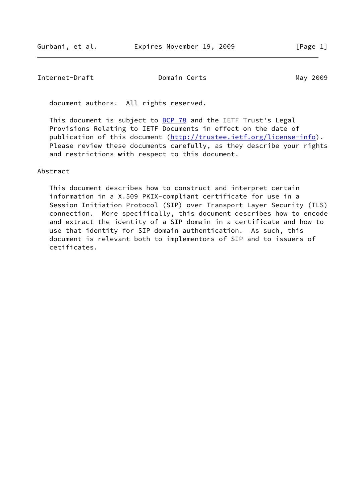document authors. All rights reserved.

This document is subject to **[BCP 78](https://datatracker.ietf.org/doc/pdf/bcp78)** and the IETF Trust's Legal Provisions Relating to IETF Documents in effect on the date of publication of this document [\(http://trustee.ietf.org/license-info](http://trustee.ietf.org/license-info)). Please review these documents carefully, as they describe your rights and restrictions with respect to this document.

# Abstract

 This document describes how to construct and interpret certain information in a X.509 PKIX-compliant certificate for use in a Session Initiation Protocol (SIP) over Transport Layer Security (TLS) connection. More specifically, this document describes how to encode and extract the identity of a SIP domain in a certificate and how to use that identity for SIP domain authentication. As such, this document is relevant both to implementors of SIP and to issuers of cetificates.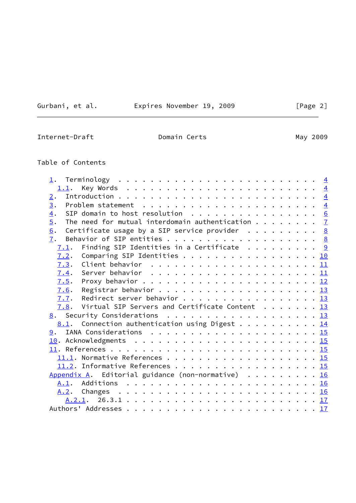Gurbani, et al. **Expires November 19, 2009** [Page 2]

 $\sim$ 

Internet-Draft **Domain Certs** Domain Certs May 2009

# Table of Contents

| 2.               |                                                                                                       |  |  |  |  |
|------------------|-------------------------------------------------------------------------------------------------------|--|--|--|--|
| $\overline{3}$ . | Problem statement $\ldots \ldots \ldots \ldots \ldots \ldots \ldots$                                  |  |  |  |  |
| $\overline{4}$ . | SIP domain to host resolution 6                                                                       |  |  |  |  |
| 5.               | The need for mutual interdomain authentication $\frac{7}{2}$                                          |  |  |  |  |
| 6.               | Certificate usage by a SIP service provider $\cdots \cdots$                                           |  |  |  |  |
| 7.               |                                                                                                       |  |  |  |  |
| 7.1.             | Finding SIP Identities in a Certificate $\cdots$ 9                                                    |  |  |  |  |
| 7.2.             | Comparing SIP Identities 10                                                                           |  |  |  |  |
| 7.3.             | Client behavior $\ldots \ldots \ldots \ldots \ldots \ldots \ldots \underline{11}$                     |  |  |  |  |
| 7.4.             | Server behavior $\dots \dots \dots \dots \dots \dots \dots \dots \dots \dots \dots \dots \dots \dots$ |  |  |  |  |
|                  |                                                                                                       |  |  |  |  |
| 7.6.             |                                                                                                       |  |  |  |  |
|                  | 7.7. Redirect server behavior 13                                                                      |  |  |  |  |
|                  | 7.8. Virtual SIP Servers and Certificate Content $\ldots \ldots$ 13                                   |  |  |  |  |
|                  | 8. Security Considerations 13                                                                         |  |  |  |  |
|                  | <u>8.1</u> . Connection authentication using Digest $\cdots$ 14                                       |  |  |  |  |
|                  |                                                                                                       |  |  |  |  |
|                  |                                                                                                       |  |  |  |  |
|                  |                                                                                                       |  |  |  |  |
|                  |                                                                                                       |  |  |  |  |
|                  |                                                                                                       |  |  |  |  |
|                  | Appendix A. Editorial guidance (non-normative) 16                                                     |  |  |  |  |
|                  |                                                                                                       |  |  |  |  |
|                  |                                                                                                       |  |  |  |  |
|                  |                                                                                                       |  |  |  |  |
|                  |                                                                                                       |  |  |  |  |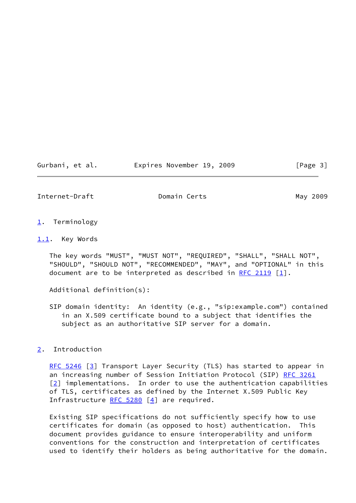#### Gurbani, et al. Expires November 19, 2009 [Page 3]

<span id="page-3-1"></span>Internet-Draft **Domain Certs** Domain Certs May 2009

- <span id="page-3-0"></span>[1](#page-3-0). Terminology
- <span id="page-3-2"></span>[1.1](#page-3-2). Key Words

 The key words "MUST", "MUST NOT", "REQUIRED", "SHALL", "SHALL NOT", "SHOULD", "SHOULD NOT", "RECOMMENDED", "MAY", and "OPTIONAL" in this document are to be interpreted as described in [RFC 2119](https://datatracker.ietf.org/doc/pdf/rfc2119)  $[1]$  $[1]$ .

Additional definition(s):

 SIP domain identity: An identity (e.g., "sip:example.com") contained in an X.509 certificate bound to a subject that identifies the subject as an authoritative SIP server for a domain.

<span id="page-3-3"></span>[2](#page-3-3). Introduction

[RFC 5246](https://datatracker.ietf.org/doc/pdf/rfc5246) [\[3\]](#page-16-5) Transport Layer Security (TLS) has started to appear in an increasing number of Session Initiation Protocol (SIP) [RFC 3261](https://datatracker.ietf.org/doc/pdf/rfc3261)  $[2]$  $[2]$  implementations. In order to use the authentication capabilities of TLS, certificates as defined by the Internet X.509 Public Key Infrastructure  $RFC 5280 [4]$  $RFC 5280 [4]$  $RFC 5280 [4]$  are required.</u>

 Existing SIP specifications do not sufficiently specify how to use certificates for domain (as opposed to host) authentication. This document provides guidance to ensure interoperability and uniform conventions for the construction and interpretation of certificates used to identify their holders as being authoritative for the domain.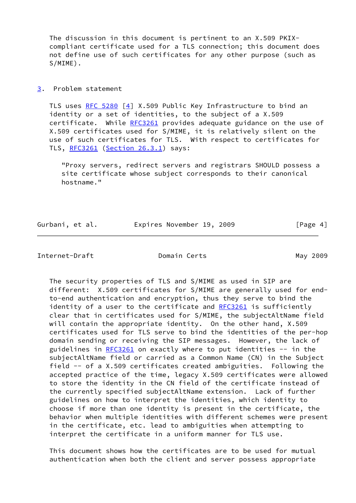The discussion in this document is pertinent to an X.509 PKIX compliant certificate used for a TLS connection; this document does not define use of such certificates for any other purpose (such as S/MIME).

<span id="page-4-0"></span>[3](#page-4-0). Problem statement

 TLS uses [RFC 5280](https://datatracker.ietf.org/doc/pdf/rfc5280) [[4\]](#page-16-7) X.509 Public Key Infrastructure to bind an identity or a set of identities, to the subject of a X.509 certificate. While [RFC3261](https://datatracker.ietf.org/doc/pdf/rfc3261) provides adequate guidance on the use of X.509 certificates used for S/MIME, it is relatively silent on the use of such certificates for TLS. With respect to certificates for TLS, [RFC3261](https://datatracker.ietf.org/doc/pdf/rfc3261) (Section 26.3.1) says:

 "Proxy servers, redirect servers and registrars SHOULD possess a site certificate whose subject corresponds to their canonical hostname."

| Gurbani, et al. |  | Expires November 19, 2009 |  | [Page 4] |  |
|-----------------|--|---------------------------|--|----------|--|
|                 |  |                           |  |          |  |

Internet-Draft Domain Certs May 2009

 The security properties of TLS and S/MIME as used in SIP are different: X.509 certificates for S/MIME are generally used for end to-end authentication and encryption, thus they serve to bind the identity of a user to the certificate and [RFC3261](https://datatracker.ietf.org/doc/pdf/rfc3261) is sufficiently clear that in certificates used for S/MIME, the subjectAltName field will contain the appropriate identity. On the other hand, X.509 certificates used for TLS serve to bind the identities of the per-hop domain sending or receiving the SIP messages. However, the lack of guidelines in  $RFC3261$  on exactly where to put identities  $-$  in the subjectAltName field or carried as a Common Name (CN) in the Subject field -- of a X.509 certificates created ambiguities. Following the accepted practice of the time, legacy X.509 certificates were allowed to store the identity in the CN field of the certificate instead of the currently specified subjectAltName extension. Lack of further guidelines on how to interpret the identities, which identity to choose if more than one identity is present in the certificate, the behavior when multiple identities with different schemes were present in the certificate, etc. lead to ambiguities when attempting to interpret the certificate in a uniform manner for TLS use.

 This document shows how the certificates are to be used for mutual authentication when both the client and server possess appropriate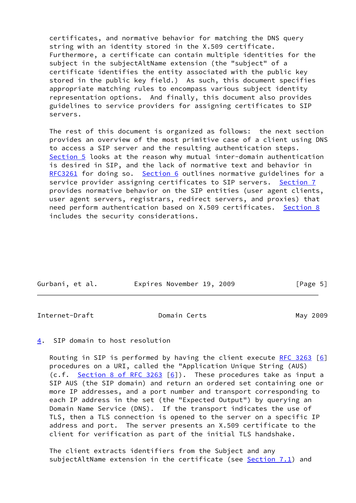certificates, and normative behavior for matching the DNS query string with an identity stored in the X.509 certificate. Furthermore, a certificate can contain multiple identities for the subject in the subjectAltName extension (the "subject" of a certificate identifies the entity associated with the public key stored in the public key field.) As such, this document specifies appropriate matching rules to encompass various subject identity representation options. And finally, this document also provides guidelines to service providers for assigning certificates to SIP servers.

 The rest of this document is organized as follows: the next section provides an overview of the most primitive case of a client using DNS to access a SIP server and the resulting authentication steps. [Section 5](#page-6-0) looks at the reason why mutual inter-domain authentication is desired in SIP, and the lack of normative text and behavior in [RFC3261](https://datatracker.ietf.org/doc/pdf/rfc3261) for doing so. [Section 6](#page-8-0) outlines normative guidelines for a service provider assigning certificates to SIP servers. [Section 7](#page-8-1) provides normative behavior on the SIP entities (user agent clients, user agent servers, registrars, redirect servers, and proxies) that need perform authentication based on X.509 certificates. [Section 8](#page-14-0) includes the security considerations.

| Gurbani, et al. | Expires November 19, 2009 |  | [Page 5] |
|-----------------|---------------------------|--|----------|
|                 |                           |  |          |

<span id="page-5-1"></span>Internet-Draft **Domain Certs** Domain Certs May 2009

#### <span id="page-5-0"></span>[4](#page-5-0). SIP domain to host resolution

Routing in SIP is performed by having the client execute [RFC 3263](https://datatracker.ietf.org/doc/pdf/rfc3263) [[6\]](#page-16-8) procedures on a URI, called the "Application Unique String (AUS) (c.f. Section [8 of RFC 3263](https://datatracker.ietf.org/doc/pdf/rfc3263#section-8)  $[6]$ ). These procedures take as input a SIP AUS (the SIP domain) and return an ordered set containing one or more IP addresses, and a port number and transport corresponding to each IP address in the set (the "Expected Output") by querying an Domain Name Service (DNS). If the transport indicates the use of TLS, then a TLS connection is opened to the server on a specific IP address and port. The server presents an X.509 certificate to the client for verification as part of the initial TLS handshake.

 The client extracts identifiers from the Subject and any subjectAltName extension in the certificate (see [Section 7.1](#page-9-0)) and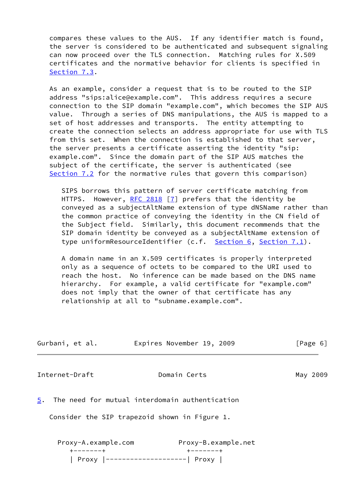compares these values to the AUS. If any identifier match is found, the server is considered to be authenticated and subsequent signaling can now proceed over the TLS connection. Matching rules for X.509 certificates and the normative behavior for clients is specified in [Section 7.3](#page-11-0).

 As an example, consider a request that is to be routed to the SIP address "sips:alice@example.com". This address requires a secure connection to the SIP domain "example.com", which becomes the SIP AUS value. Through a series of DNS manipulations, the AUS is mapped to a set of host addresses and transports. The entity attempting to create the connection selects an address appropriate for use with TLS from this set. When the connection is established to that server, the server presents a certificate asserting the identity "sip: example.com". Since the domain part of the SIP AUS matches the subject of the certificate, the server is authenticated (see [Section 7.2](#page-10-0) for the normative rules that govern this comparison)

 SIPS borrows this pattern of server certificate matching from HTTPS. However, [RFC 2818](https://datatracker.ietf.org/doc/pdf/rfc2818) [\[7\]](#page-16-9) prefers that the identity be conveyed as a subjectAltName extension of type dNSName rather than the common practice of conveying the identity in the CN field of the Subject field. Similarly, this document recommends that the SIP domain identity be conveyed as a subjectAltName extension of type uniformResourceIdentifier (c.f. [Section 6](#page-8-0), [Section 7.1\)](#page-9-0).

 A domain name in an X.509 certificates is properly interpreted only as a sequence of octets to be compared to the URI used to reach the host. No inference can be made based on the DNS name hierarchy. For example, a valid certificate for "example.com" does not imply that the owner of that certificate has any relationship at all to "subname.example.com".

<span id="page-6-1"></span><span id="page-6-0"></span>

| Gurbani, et al.                          | Expires November 19, 2009                      | [Page 6] |
|------------------------------------------|------------------------------------------------|----------|
| Internet-Draft                           | Domain Certs                                   | May 2009 |
| 5.                                       | The need for mutual interdomain authentication |          |
|                                          | Consider the SIP trapezoid shown in Figure 1.  |          |
| Proxy-A.example.com<br>$+ - - - - - - +$ | Proxy-B.example.net<br>$+ - - - - - - +$       |          |
|                                          | -------  Proxy                                 |          |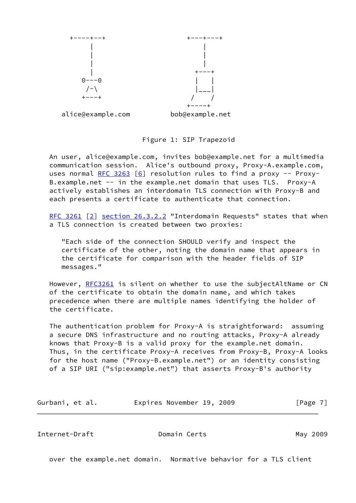

Figure 1: SIP Trapezoid

 An user, alice@example.com, invites bob@example.net for a multimedia communication session. Alice's outbound proxy, Proxy-A.example.com, uses normal [RFC 3263](https://datatracker.ietf.org/doc/pdf/rfc3263)  $[6]$  resolution rules to find a proxy -- Proxy- B.example.net -- in the example.net domain that uses TLS. Proxy-A actively establishes an interdomain TLS connection with Proxy-B and each presents a certificate to authenticate that connection.

[RFC 3261](https://datatracker.ietf.org/doc/pdf/rfc3261) [\[2\]](#page-16-6) section 26.3.2.2 "Interdomain Requests" states that when a TLS connection is created between two proxies:

 "Each side of the connection SHOULD verify and inspect the certificate of the other, noting the domain name that appears in the certificate for comparison with the header fields of SIP messages."

However, [RFC3261](https://datatracker.ietf.org/doc/pdf/rfc3261) is silent on whether to use the subjectAltName or CN of the certificate to obtain the domain name, and which takes precedence when there are multiple names identifying the holder of the certificate.

 The authentication problem for Proxy-A is straightforward: assuming a secure DNS infrastructure and no routing attacks, Proxy-A already knows that Proxy-B is a valid proxy for the example.net domain. Thus, in the certificate Proxy-A receives from Proxy-B, Proxy-A looks for the host name ("Proxy-B.example.net") or an identity consisting of a SIP URI ("sip:example.net") that asserts Proxy-B's authority

| Gurbani, et al. | Expires November 19, 2009 | [Page 7] |
|-----------------|---------------------------|----------|
|                 |                           |          |

<span id="page-7-0"></span>Internet-Draft Domain Certs May 2009

over the example.net domain. Normative behavior for a TLS client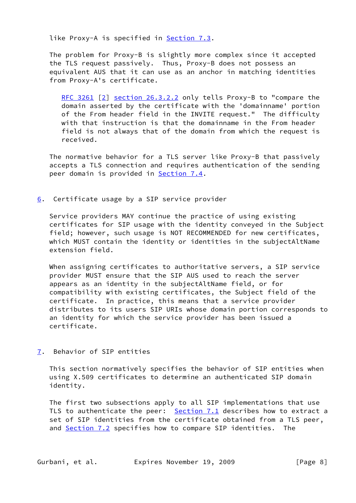like Proxy-A is specified in **Section 7.3.** 

 The problem for Proxy-B is slightly more complex since it accepted the TLS request passively. Thus, Proxy-B does not possess an equivalent AUS that it can use as an anchor in matching identities from Proxy-A's certificate.

[RFC 3261](https://datatracker.ietf.org/doc/pdf/rfc3261) [\[2](#page-16-6)] section 26.3.2.2 only tells Proxy-B to "compare the domain asserted by the certificate with the 'domainname' portion of the From header field in the INVITE request." The difficulty with that instruction is that the domainname in the From header field is not always that of the domain from which the request is received.

 The normative behavior for a TLS server like Proxy-B that passively accepts a TLS connection and requires authentication of the sending peer domain is provided in [Section 7.4](#page-12-0).

<span id="page-8-0"></span>[6](#page-8-0). Certificate usage by a SIP service provider

 Service providers MAY continue the practice of using existing certificates for SIP usage with the identity conveyed in the Subject field; however, such usage is NOT RECOMMENDED for new certificates, which MUST contain the identity or identities in the subjectAltName extension field.

 When assigning certificates to authoritative servers, a SIP service provider MUST ensure that the SIP AUS used to reach the server appears as an identity in the subjectAltName field, or for compatibility with existing certificates, the Subject field of the certificate. In practice, this means that a service provider distributes to its users SIP URIs whose domain portion corresponds to an identity for which the service provider has been issued a certificate.

<span id="page-8-1"></span>[7](#page-8-1). Behavior of SIP entities

 This section normatively specifies the behavior of SIP entities when using X.509 certificates to determine an authenticated SIP domain identity.

 The first two subsections apply to all SIP implementations that use TLS to authenticate the peer:  $Section 7.1$  describes how to extract a set of SIP identities from the certificate obtained from a TLS peer, and **Section 7.2** specifies how to compare SIP identities. The

Gurbani, et al. **Expires November 19, 2009** [Page 8]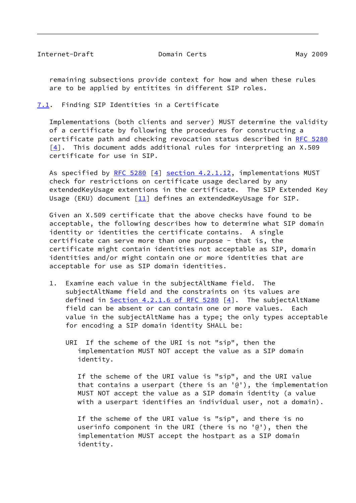<span id="page-9-1"></span> remaining subsections provide context for how and when these rules are to be applied by entitites in different SIP roles.

<span id="page-9-0"></span>[7.1](#page-9-0). Finding SIP Identities in a Certificate

 Implementations (both clients and server) MUST determine the validity of a certificate by following the procedures for constructing a certificate path and checking revocation status described in [RFC 5280](https://datatracker.ietf.org/doc/pdf/rfc5280)  $[4]$  $[4]$ . This document adds additional rules for interpreting an X.509 certificate for use in SIP.

As specified by [RFC 5280](https://datatracker.ietf.org/doc/pdf/rfc5280)  $[4]$  section 4.2.1.12, implementations MUST check for restrictions on certificate usage declared by any extendedKeyUsage extentions in the certificate. The SIP Extended Key Usage (EKU) document  $[11]$  defines an extendedKeyUsage for SIP.

 Given an X.509 certificate that the above checks have found to be acceptable, the following describes how to determine what SIP domain identity or identities the certificate contains. A single certificate can serve more than one purpose - that is, the certificate might contain identities not acceptable as SIP, domain identities and/or might contain one or more identities that are acceptable for use as SIP domain identities.

- 1. Examine each value in the subjectAltName field. The subjectAltName field and the constraints on its values are defined in Section [4.2.1.6 of RFC 5280](https://datatracker.ietf.org/doc/pdf/rfc5280#section-4.2.1.6)  $[4]$  $[4]$ . The subjectAltName field can be absent or can contain one or more values. Each value in the subjectAltName has a type; the only types acceptable for encoding a SIP domain identity SHALL be:
	- URI If the scheme of the URI is not "sip", then the implementation MUST NOT accept the value as a SIP domain identity.

 If the scheme of the URI value is "sip", and the URI value that contains a userpart (there is an '@'), the implementation MUST NOT accept the value as a SIP domain identity (a value with a userpart identifies an individual user, not a domain).

 If the scheme of the URI value is "sip", and there is no userinfo component in the URI (there is no '@'), then the implementation MUST accept the hostpart as a SIP domain identity.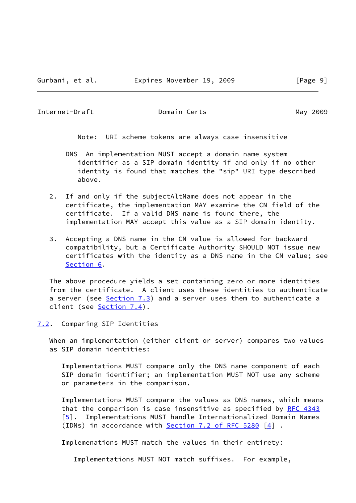<span id="page-10-1"></span>Note: URI scheme tokens are always case insensitive

- DNS An implementation MUST accept a domain name system identifier as a SIP domain identity if and only if no other identity is found that matches the "sip" URI type described above.
- 2. If and only if the subjectAltName does not appear in the certificate, the implementation MAY examine the CN field of the certificate. If a valid DNS name is found there, the implementation MAY accept this value as a SIP domain identity.
- 3. Accepting a DNS name in the CN value is allowed for backward compatibility, but a Certificate Authority SHOULD NOT issue new certificates with the identity as a DNS name in the CN value; see [Section 6.](#page-8-0)

 The above procedure yields a set containing zero or more identities from the certificate. A client uses these identities to authenticate a server (see [Section 7.3](#page-11-0)) and a server uses them to authenticate a client (see [Section 7.4\)](#page-12-0).

<span id="page-10-0"></span>[7.2](#page-10-0). Comparing SIP Identities

 When an implementation (either client or server) compares two values as SIP domain identities:

 Implementations MUST compare only the DNS name component of each SIP domain identifier; an implementation MUST NOT use any scheme or parameters in the comparison.

 Implementations MUST compare the values as DNS names, which means that the comparison is case insensitive as specified by [RFC 4343](https://datatracker.ietf.org/doc/pdf/rfc4343) [[5\]](#page-16-10). Implementations MUST handle Internationalized Domain Names (IDNs) in accordance with Section [7.2 of RFC 5280](https://datatracker.ietf.org/doc/pdf/rfc5280#section-7.2) [\[4\]](#page-16-7) .

Implemenations MUST match the values in their entirety:

Implementations MUST NOT match suffixes. For example,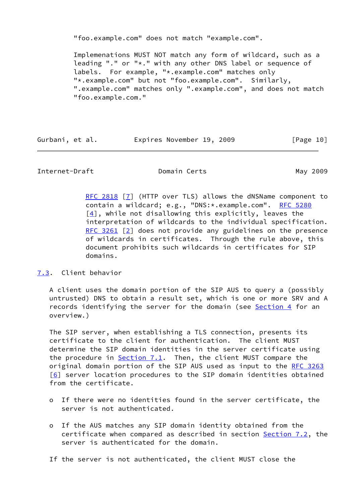"foo.example.com" does not match "example.com".

 Implemenations MUST NOT match any form of wildcard, such as a leading "." or "\*." with any other DNS label or sequence of labels. For example, "\*.example.com" matches only "\*.example.com" but not "foo.example.com". Similarly, ".example.com" matches only ".example.com", and does not match "foo.example.com."

| Gurbani, et al. | Expires November 19, 2009 | [Page 10] |
|-----------------|---------------------------|-----------|
|                 |                           |           |

<span id="page-11-1"></span>Internet-Draft Domain Certs May 2009

 [RFC 2818](https://datatracker.ietf.org/doc/pdf/rfc2818) [[7\]](#page-16-9) (HTTP over TLS) allows the dNSName component to contain a wildcard; e.g., "DNS:\*.example.com". [RFC 5280](https://datatracker.ietf.org/doc/pdf/rfc5280)  $[4]$ , while not disallowing this explicitly, leaves the interpretation of wildcards to the individual specification. [RFC 3261](https://datatracker.ietf.org/doc/pdf/rfc3261) [[2\]](#page-16-6) does not provide any guidelines on the presence of wildcards in certificates. Through the rule above, this document prohibits such wildcards in certificates for SIP domains.

# <span id="page-11-0"></span>[7.3](#page-11-0). Client behavior

 A client uses the domain portion of the SIP AUS to query a (possibly untrusted) DNS to obtain a result set, which is one or more SRV and A records identifying the server for the domain (see [Section 4](#page-5-0) for an overview.)

 The SIP server, when establishing a TLS connection, presents its certificate to the client for authentication. The client MUST determine the SIP domain identities in the server certificate using the procedure in  $Section 7.1$ . Then, the client MUST compare the original domain portion of the SIP AUS used as input to the [RFC 3263](https://datatracker.ietf.org/doc/pdf/rfc3263)  $[6]$  $[6]$  server location procedures to the SIP domain identities obtained from the certificate.

- o If there were no identities found in the server certificate, the server is not authenticated.
- o If the AUS matches any SIP domain identity obtained from the certificate when compared as described in section [Section 7.2](#page-10-0), the server is authenticated for the domain.
- If the server is not authenticated, the client MUST close the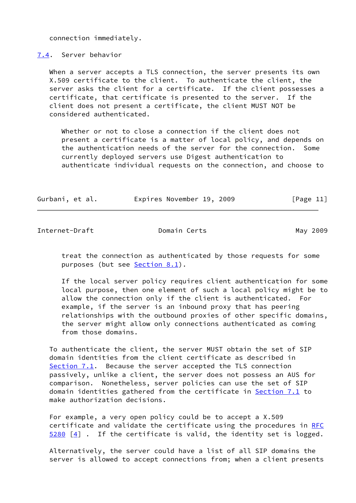connection immediately.

<span id="page-12-0"></span>[7.4](#page-12-0). Server behavior

When a server accepts a TLS connection, the server presents its own X.509 certificate to the client. To authenticate the client, the server asks the client for a certificate. If the client possesses a certificate, that certificate is presented to the server. If the client does not present a certificate, the client MUST NOT be considered authenticated.

 Whether or not to close a connection if the client does not present a certificate is a matter of local policy, and depends on the authentication needs of the server for the connection. Some currently deployed servers use Digest authentication to authenticate individual requests on the connection, and choose to

| Gurbani, et al. | Expires November 19, 2009 | [Page 11] |
|-----------------|---------------------------|-----------|
|                 |                           |           |

<span id="page-12-1"></span>Internet-Draft Domain Certs May 2009

 treat the connection as authenticated by those requests for some purposes (but see [Section 8.1](#page-15-0)).

 If the local server policy requires client authentication for some local purpose, then one element of such a local policy might be to allow the connection only if the client is authenticated. For example, if the server is an inbound proxy that has peering relationships with the outbound proxies of other specific domains, the server might allow only connections authenticated as coming from those domains.

 To authenticate the client, the server MUST obtain the set of SIP domain identities from the client certificate as described in [Section 7.1](#page-9-0). Because the server accepted the TLS connection passively, unlike a client, the server does not possess an AUS for comparison. Nonetheless, server policies can use the set of SIP domain identities gathered from the certificate in [Section 7.1](#page-9-0) to make authorization decisions.

 For example, a very open policy could be to accept a X.509 certificate and validate the certificate using the procedures in [RFC](https://datatracker.ietf.org/doc/pdf/rfc5280)  $5280$  [\[4\]](#page-16-7). If the certificate is valid, the identity set is logged.

 Alternatively, the server could have a list of all SIP domains the server is allowed to accept connections from; when a client presents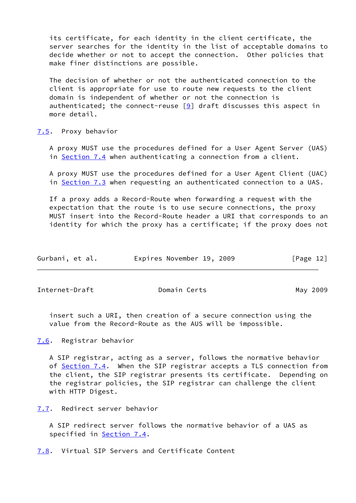its certificate, for each identity in the client certificate, the server searches for the identity in the list of acceptable domains to decide whether or not to accept the connection. Other policies that make finer distinctions are possible.

 The decision of whether or not the authenticated connection to the client is appropriate for use to route new requests to the client domain is independent of whether or not the connection is authenticated; the connect-reuse  $[9]$  draft discusses this aspect in more detail.

#### <span id="page-13-0"></span>[7.5](#page-13-0). Proxy behavior

 A proxy MUST use the procedures defined for a User Agent Server (UAS) in [Section 7.4](#page-12-0) when authenticating a connection from a client.

 A proxy MUST use the procedures defined for a User Agent Client (UAC) in [Section 7.3](#page-11-0) when requesting an authenticated connection to a UAS.

 If a proxy adds a Record-Route when forwarding a request with the expectation that the route is to use secure connections, the proxy MUST insert into the Record-Route header a URI that corresponds to an identity for which the proxy has a certificate; if the proxy does not

| Gurbani, et al. | Expires November 19, 2009 |  |  | [Page 12] |  |
|-----------------|---------------------------|--|--|-----------|--|
|-----------------|---------------------------|--|--|-----------|--|

<span id="page-13-2"></span>Internet-Draft **Domain Certs** Domain Certs May 2009

 insert such a URI, then creation of a secure connection using the value from the Record-Route as the AUS will be impossible.

<span id="page-13-1"></span>[7.6](#page-13-1). Registrar behavior

 A SIP registrar, acting as a server, follows the normative behavior of **[Section 7.4](#page-12-0).** When the SIP registrar accepts a TLS connection from the client, the SIP registrar presents its certificate. Depending on the registrar policies, the SIP registrar can challenge the client with HTTP Digest.

<span id="page-13-3"></span>[7.7](#page-13-3). Redirect server behavior

 A SIP redirect server follows the normative behavior of a UAS as specified in [Section 7.4](#page-12-0).

<span id="page-13-4"></span>[7.8](#page-13-4). Virtual SIP Servers and Certificate Content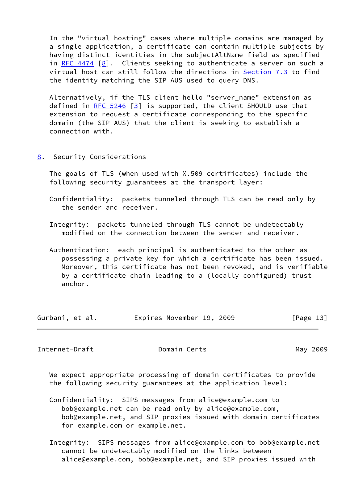In the "virtual hosting" cases where multiple domains are managed by a single application, a certificate can contain multiple subjects by having distinct identities in the subjectAltName field as specified in RFC  $4474$   $[8]$  $[8]$ . Clients seeking to authenticate a server on such a virtual host can still follow the directions in [Section 7.3](#page-11-0) to find the identity matching the SIP AUS used to query DNS.

 Alternatively, if the TLS client hello "server\_name" extension as defined in RFC  $5246$   $[3]$  $[3]$  is supported, the client SHOULD use that extension to request a certificate corresponding to the specific domain (the SIP AUS) that the client is seeking to establish a connection with.

<span id="page-14-0"></span>[8](#page-14-0). Security Considerations

 The goals of TLS (when used with X.509 certificates) include the following security guarantees at the transport layer:

 Confidentiality: packets tunneled through TLS can be read only by the sender and receiver.

 Integrity: packets tunneled through TLS cannot be undetectably modified on the connection between the sender and receiver.

 Authentication: each principal is authenticated to the other as possessing a private key for which a certificate has been issued. Moreover, this certificate has not been revoked, and is verifiable by a certificate chain leading to a (locally configured) trust anchor.

| Gurbani, et al. |  | Expires November 19, 2009 |  |  | [Page 13] |
|-----------------|--|---------------------------|--|--|-----------|
|-----------------|--|---------------------------|--|--|-----------|

<span id="page-14-1"></span>Internet-Draft **Domain Certs** Domain Certs May 2009

 We expect appropriate processing of domain certificates to provide the following security guarantees at the application level:

 Confidentiality: SIPS messages from alice@example.com to bob@example.net can be read only by alice@example.com, bob@example.net, and SIP proxies issued with domain certificates for example.com or example.net.

 Integrity: SIPS messages from alice@example.com to bob@example.net cannot be undetectably modified on the links between alice@example.com, bob@example.net, and SIP proxies issued with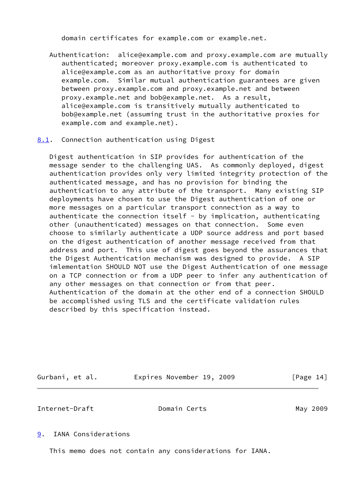domain certificates for example.com or example.net.

 Authentication: alice@example.com and proxy.example.com are mutually authenticated; moreover proxy.example.com is authenticated to alice@example.com as an authoritative proxy for domain example.com. Similar mutual authentication guarantees are given between proxy.example.com and proxy.example.net and between proxy.example.net and bob@example.net. As a result, alice@example.com is transitively mutually authenticated to bob@example.net (assuming trust in the authoritative proxies for example.com and example.net).

# <span id="page-15-0"></span>[8.1](#page-15-0). Connection authentication using Digest

 Digest authentication in SIP provides for authentication of the message sender to the challenging UAS. As commonly deployed, digest authentication provides only very limited integrity protection of the authenticated message, and has no provision for binding the authentication to any attribute of the transport. Many existing SIP deployments have chosen to use the Digest authentication of one or more messages on a particular transport connection as a way to authenticate the connection itself - by implication, authenticating other (unauthenticated) messages on that connection. Some even choose to similarly authenticate a UDP source address and port based on the digest authentication of another message received from that address and port. This use of digest goes beyond the assurances that the Digest Authentication mechanism was designed to provide. A SIP imlementation SHOULD NOT use the Digest Authentication of one message on a TCP connection or from a UDP peer to infer any authentication of any other messages on that connection or from that peer. Authentication of the domain at the other end of a connection SHOULD be accomplished using TLS and the certificate validation rules described by this specification instead.

| Gurbani, et al. | Expires November 19, 2009 |  |  |  | [Page 14] |  |
|-----------------|---------------------------|--|--|--|-----------|--|
|-----------------|---------------------------|--|--|--|-----------|--|

<span id="page-15-2"></span>Internet-Draft **Domain Certs** Domain Certs May 2009

#### <span id="page-15-1"></span>[9](#page-15-1). IANA Considerations

This memo does not contain any considerations for IANA.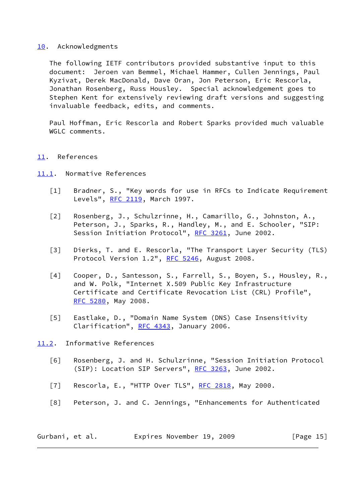# <span id="page-16-0"></span>[10.](#page-16-0) Acknowledgments

 The following IETF contributors provided substantive input to this document: Jeroen van Bemmel, Michael Hammer, Cullen Jennings, Paul Kyzivat, Derek MacDonald, Dave Oran, Jon Peterson, Eric Rescorla, Jonathan Rosenberg, Russ Housley. Special acknowledgement goes to Stephen Kent for extensively reviewing draft versions and suggesting invaluable feedback, edits, and comments.

 Paul Hoffman, Eric Rescorla and Robert Sparks provided much valuable WGLC comments.

#### <span id="page-16-1"></span>[11.](#page-16-1) References

- <span id="page-16-6"></span><span id="page-16-5"></span><span id="page-16-4"></span><span id="page-16-2"></span>[11.1](#page-16-2). Normative References
	- [1] Bradner, S., "Key words for use in RFCs to Indicate Requirement Levels", [RFC 2119,](https://datatracker.ietf.org/doc/pdf/rfc2119) March 1997.
	- [2] Rosenberg, J., Schulzrinne, H., Camarillo, G., Johnston, A., Peterson, J., Sparks, R., Handley, M., and E. Schooler, "SIP: Session Initiation Protocol", [RFC 3261,](https://datatracker.ietf.org/doc/pdf/rfc3261) June 2002.
	- [3] Dierks, T. and E. Rescorla, "The Transport Layer Security (TLS) Protocol Version 1.2", [RFC 5246](https://datatracker.ietf.org/doc/pdf/rfc5246), August 2008.
	- [4] Cooper, D., Santesson, S., Farrell, S., Boyen, S., Housley, R., and W. Polk, "Internet X.509 Public Key Infrastructure Certificate and Certificate Revocation List (CRL) Profile", [RFC 5280](https://datatracker.ietf.org/doc/pdf/rfc5280), May 2008.
	- [5] Eastlake, D., "Domain Name System (DNS) Case Insensitivity Clarification", [RFC 4343](https://datatracker.ietf.org/doc/pdf/rfc4343), January 2006.

# <span id="page-16-10"></span><span id="page-16-7"></span><span id="page-16-3"></span>[11.2](#page-16-3). Informative References

- <span id="page-16-8"></span> [6] Rosenberg, J. and H. Schulzrinne, "Session Initiation Protocol (SIP): Location SIP Servers", [RFC 3263,](https://datatracker.ietf.org/doc/pdf/rfc3263) June 2002.
- <span id="page-16-9"></span>[7] Rescorla, E., "HTTP Over TLS", [RFC 2818](https://datatracker.ietf.org/doc/pdf/rfc2818), May 2000.
- <span id="page-16-11"></span>[8] Peterson, J. and C. Jennings, "Enhancements for Authenticated

| Gurbani, et al. | Expires November 19, 2009 |  | [Page 15] |
|-----------------|---------------------------|--|-----------|
|-----------------|---------------------------|--|-----------|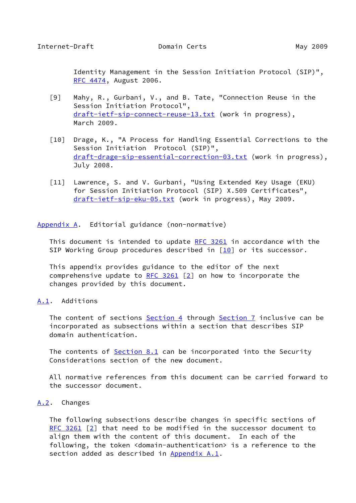<span id="page-17-1"></span> Identity Management in the Session Initiation Protocol (SIP)", [RFC 4474](https://datatracker.ietf.org/doc/pdf/rfc4474), August 2006.

- <span id="page-17-5"></span> [9] Mahy, R., Gurbani, V., and B. Tate, "Connection Reuse in the Session Initiation Protocol", [draft-ietf-sip-connect-reuse-13.txt](https://datatracker.ietf.org/doc/pdf/draft-ietf-sip-connect-reuse-13.txt) (work in progress), March 2009.
- <span id="page-17-6"></span> [10] Drage, K., "A Process for Handling Essential Corrections to the Session Initiation Protocol (SIP)", [draft-drage-sip-essential-correction-03.txt](https://datatracker.ietf.org/doc/pdf/draft-drage-sip-essential-correction-03.txt) (work in progress), July 2008.
- <span id="page-17-4"></span> [11] Lawrence, S. and V. Gurbani, "Using Extended Key Usage (EKU) for Session Initiation Protocol (SIP) X.509 Certificates", [draft-ietf-sip-eku-05.txt](https://datatracker.ietf.org/doc/pdf/draft-ietf-sip-eku-05.txt) (work in progress), May 2009.

<span id="page-17-0"></span>[Appendix A.](#page-17-0) Editorial guidance (non-normative)

This document is intended to update [RFC 3261](https://datatracker.ietf.org/doc/pdf/rfc3261) in accordance with the SIP Working Group procedures described in  $[10]$  $[10]$  or its successor.

 This appendix provides guidance to the editor of the next comprehensive update to  $RFC 3261$  [\[2\]](#page-16-6) on how to incorporate the changes provided by this document.

# <span id="page-17-2"></span>[A.1](#page-17-2). Additions

The content of sections [Section 4](#page-5-0) through [Section 7](#page-8-1) inclusive can be incorporated as subsections within a section that describes SIP domain authentication.

 The contents of [Section 8.1](#page-15-0) can be incorporated into the Security Considerations section of the new document.

 All normative references from this document can be carried forward to the successor document.

# <span id="page-17-3"></span>[A.2](#page-17-3). Changes

 The following subsections describe changes in specific sections of [RFC 3261](https://datatracker.ietf.org/doc/pdf/rfc3261) [\[2\]](#page-16-6) that need to be modified in the successor document to align them with the content of this document. In each of the following, the token <domain-authentication> is a reference to the section added as described in [Appendix A.1](#page-17-2).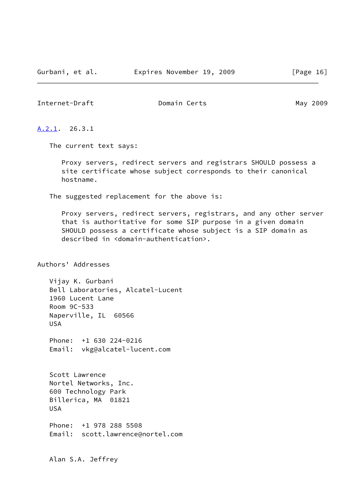#### <span id="page-18-1"></span><span id="page-18-0"></span>[A.2.1](#page-18-0). 26.3.1

The current text says:

 Proxy servers, redirect servers and registrars SHOULD possess a site certificate whose subject corresponds to their canonical hostname.

The suggested replacement for the above is:

 Proxy servers, redirect servers, registrars, and any other server that is authoritative for some SIP purpose in a given domain SHOULD possess a certificate whose subject is a SIP domain as described in <domain-authentication>.

Authors' Addresses

 Vijay K. Gurbani Bell Laboratories, Alcatel-Lucent 1960 Lucent Lane Room 9C-533 Naperville, IL 60566 USA

 Phone: +1 630 224-0216 Email: vkg@alcatel-lucent.com

 Scott Lawrence Nortel Networks, Inc. 600 Technology Park Billerica, MA 01821 USA

 Phone: +1 978 288 5508 Email: scott.lawrence@nortel.com

Alan S.A. Jeffrey